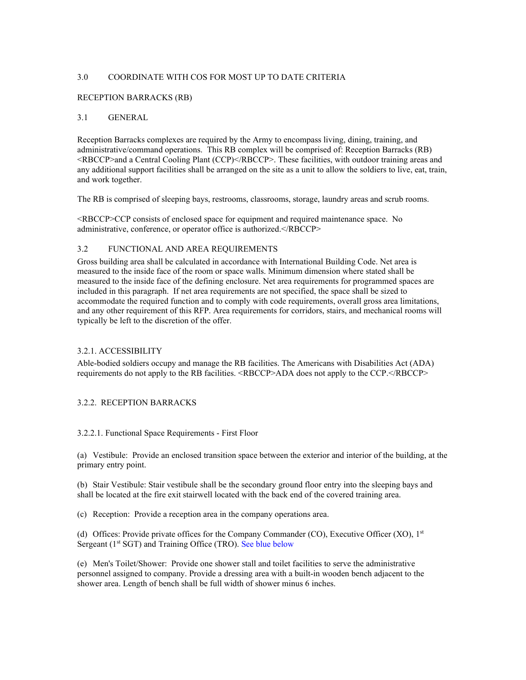## 3.0 COORDINATE WITH COS FOR MOST UP TO DATE CRITERIA

### RECEPTION BARRACKS (RB)

### 3.1 GENERAL

Reception Barracks complexes are required by the Army to encompass living, dining, training, and administrative/command operations. This RB complex will be comprised of: Reception Barracks (RB) <RBCCP>and a Central Cooling Plant (CCP)</RBCCP>. These facilities, with outdoor training areas and any additional support facilities shall be arranged on the site as a unit to allow the soldiers to live, eat, train, and work together.

The RB is comprised of sleeping bays, restrooms, classrooms, storage, laundry areas and scrub rooms.

<RBCCP>CCP consists of enclosed space for equipment and required maintenance space. No administrative, conference, or operator office is authorized.</RBCCP>

### 3.2 FUNCTIONAL AND AREA REQUIREMENTS

Gross building area shall be calculated in accordance with International Building Code. Net area is measured to the inside face of the room or space walls. Minimum dimension where stated shall be measured to the inside face of the defining enclosure. Net area requirements for programmed spaces are included in this paragraph. If net area requirements are not specified, the space shall be sized to accommodate the required function and to comply with code requirements, overall gross area limitations, and any other requirement of this RFP. Area requirements for corridors, stairs, and mechanical rooms will typically be left to the discretion of the offer.

### 3.2.1. ACCESSIBILITY

Able-bodied soldiers occupy and manage the RB facilities. The Americans with Disabilities Act (ADA) requirements do not apply to the RB facilities. <RBCCP>ADA does not apply to the CCP.</RBCCP>

### 3.2.2. RECEPTION BARRACKS

### 3.2.2.1. Functional Space Requirements - First Floor

(a) Vestibule: Provide an enclosed transition space between the exterior and interior of the building, at the primary entry point.

(b) Stair Vestibule: Stair vestibule shall be the secondary ground floor entry into the sleeping bays and shall be located at the fire exit stairwell located with the back end of the covered training area.

(c) Reception: Provide a reception area in the company operations area.

(d) Offices: Provide private offices for the Company Commander (CO), Executive Officer (XO), 1st Sergeant (1<sup>st</sup> SGT) and Training Office (TRO). See blue below

(e) Men's Toilet/Shower: Provide one shower stall and toilet facilities to serve the administrative personnel assigned to company. Provide a dressing area with a built-in wooden bench adjacent to the shower area. Length of bench shall be full width of shower minus 6 inches.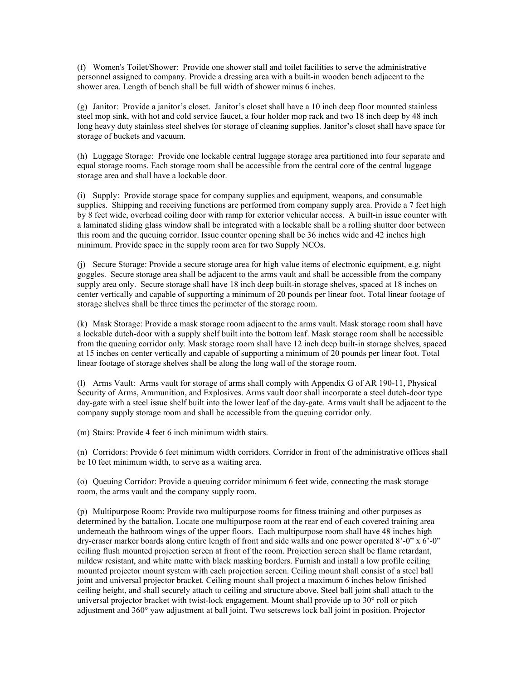(f) Women's Toilet/Shower: Provide one shower stall and toilet facilities to serve the administrative personnel assigned to company. Provide a dressing area with a built-in wooden bench adjacent to the shower area. Length of bench shall be full width of shower minus 6 inches.

(g) Janitor: Provide a janitor's closet. Janitor's closet shall have a 10 inch deep floor mounted stainless steel mop sink, with hot and cold service faucet, a four holder mop rack and two 18 inch deep by 48 inch long heavy duty stainless steel shelves for storage of cleaning supplies. Janitor's closet shall have space for storage of buckets and vacuum.

(h) Luggage Storage: Provide one lockable central luggage storage area partitioned into four separate and equal storage rooms. Each storage room shall be accessible from the central core of the central luggage storage area and shall have a lockable door.

(i) Supply: Provide storage space for company supplies and equipment, weapons, and consumable supplies. Shipping and receiving functions are performed from company supply area. Provide a 7 feet high by 8 feet wide, overhead coiling door with ramp for exterior vehicular access. A built-in issue counter with a laminated sliding glass window shall be integrated with a lockable shall be a rolling shutter door between this room and the queuing corridor. Issue counter opening shall be 36 inches wide and 42 inches high minimum. Provide space in the supply room area for two Supply NCOs.

(j) Secure Storage: Provide a secure storage area for high value items of electronic equipment, e.g. night goggles. Secure storage area shall be adjacent to the arms vault and shall be accessible from the company supply area only. Secure storage shall have 18 inch deep built-in storage shelves, spaced at 18 inches on center vertically and capable of supporting a minimum of 20 pounds per linear foot. Total linear footage of storage shelves shall be three times the perimeter of the storage room.

(k) Mask Storage: Provide a mask storage room adjacent to the arms vault. Mask storage room shall have a lockable dutch-door with a supply shelf built into the bottom leaf. Mask storage room shall be accessible from the queuing corridor only. Mask storage room shall have 12 inch deep built-in storage shelves, spaced at 15 inches on center vertically and capable of supporting a minimum of 20 pounds per linear foot. Total linear footage of storage shelves shall be along the long wall of the storage room.

(l) Arms Vault: Arms vault for storage of arms shall comply with Appendix G of AR 190-11, Physical Security of Arms, Ammunition, and Explosives. Arms vault door shall incorporate a steel dutch-door type day-gate with a steel issue shelf built into the lower leaf of the day-gate. Arms vault shall be adjacent to the company supply storage room and shall be accessible from the queuing corridor only.

(m) Stairs: Provide 4 feet 6 inch minimum width stairs.

(n) Corridors: Provide 6 feet minimum width corridors. Corridor in front of the administrative offices shall be 10 feet minimum width, to serve as a waiting area.

(o) Queuing Corridor: Provide a queuing corridor minimum 6 feet wide, connecting the mask storage room, the arms vault and the company supply room.

(p) Multipurpose Room: Provide two multipurpose rooms for fitness training and other purposes as determined by the battalion. Locate one multipurpose room at the rear end of each covered training area underneath the bathroom wings of the upper floors. Each multipurpose room shall have 48 inches high dry-eraser marker boards along entire length of front and side walls and one power operated 8'-0" x 6'-0" ceiling flush mounted projection screen at front of the room. Projection screen shall be flame retardant, mildew resistant, and white matte with black masking borders. Furnish and install a low profile ceiling mounted projector mount system with each projection screen. Ceiling mount shall consist of a steel ball joint and universal projector bracket. Ceiling mount shall project a maximum 6 inches below finished ceiling height, and shall securely attach to ceiling and structure above. Steel ball joint shall attach to the universal projector bracket with twist-lock engagement. Mount shall provide up to 30° roll or pitch adjustment and 360° yaw adjustment at ball joint. Two setscrews lock ball joint in position. Projector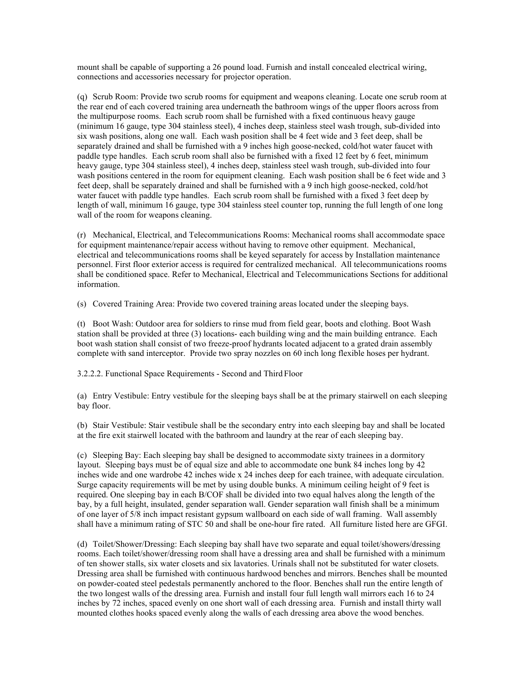mount shall be capable of supporting a 26 pound load. Furnish and install concealed electrical wiring, connections and accessories necessary for projector operation.

(q) Scrub Room: Provide two scrub rooms for equipment and weapons cleaning. Locate one scrub room at the rear end of each covered training area underneath the bathroom wings of the upper floors across from the multipurpose rooms. Each scrub room shall be furnished with a fixed continuous heavy gauge (minimum 16 gauge, type 304 stainless steel), 4 inches deep, stainless steel wash trough, sub-divided into six wash positions, along one wall. Each wash position shall be 4 feet wide and 3 feet deep, shall be separately drained and shall be furnished with a 9 inches high goose-necked, cold/hot water faucet with paddle type handles. Each scrub room shall also be furnished with a fixed 12 feet by 6 feet, minimum heavy gauge, type 304 stainless steel), 4 inches deep, stainless steel wash trough, sub-divided into four wash positions centered in the room for equipment cleaning. Each wash position shall be 6 feet wide and 3 feet deep, shall be separately drained and shall be furnished with a 9 inch high goose-necked, cold/hot water faucet with paddle type handles. Each scrub room shall be furnished with a fixed 3 feet deep by length of wall, minimum 16 gauge, type 304 stainless steel counter top, running the full length of one long wall of the room for weapons cleaning.

(r) Mechanical, Electrical, and Telecommunications Rooms: Mechanical rooms shall accommodate space for equipment maintenance/repair access without having to remove other equipment. Mechanical, electrical and telecommunications rooms shall be keyed separately for access by Installation maintenance personnel. First floor exterior access is required for centralized mechanical. All telecommunications rooms shall be conditioned space. Refer to Mechanical, Electrical and Telecommunications Sections for additional information.

(s) Covered Training Area: Provide two covered training areas located under the sleeping bays.

(t) Boot Wash: Outdoor area for soldiers to rinse mud from field gear, boots and clothing. Boot Wash station shall be provided at three (3) locations- each building wing and the main building entrance. Each boot wash station shall consist of two freeze-proof hydrants located adjacent to a grated drain assembly complete with sand interceptor. Provide two spray nozzles on 60 inch long flexible hoses per hydrant.

3.2.2.2. Functional Space Requirements - Second and Third Floor

(a) Entry Vestibule: Entry vestibule for the sleeping bays shall be at the primary stairwell on each sleeping bay floor.

(b) Stair Vestibule: Stair vestibule shall be the secondary entry into each sleeping bay and shall be located at the fire exit stairwell located with the bathroom and laundry at the rear of each sleeping bay.

(c) Sleeping Bay: Each sleeping bay shall be designed to accommodate sixty trainees in a dormitory layout. Sleeping bays must be of equal size and able to accommodate one bunk 84 inches long by 42 inches wide and one wardrobe 42 inches wide x 24 inches deep for each trainee, with adequate circulation. Surge capacity requirements will be met by using double bunks. A minimum ceiling height of 9 feet is required. One sleeping bay in each B/COF shall be divided into two equal halves along the length of the bay, by a full height, insulated, gender separation wall. Gender separation wall finish shall be a minimum of one layer of 5/8 inch impact resistant gypsum wallboard on each side of wall framing. Wall assembly shall have a minimum rating of STC 50 and shall be one-hour fire rated. All furniture listed here are GFGI.

(d) Toilet/Shower/Dressing: Each sleeping bay shall have two separate and equal toilet/showers/dressing rooms. Each toilet/shower/dressing room shall have a dressing area and shall be furnished with a minimum of ten shower stalls, six water closets and six lavatories. Urinals shall not be substituted for water closets. Dressing area shall be furnished with continuous hardwood benches and mirrors. Benches shall be mounted on powder-coated steel pedestals permanently anchored to the floor. Benches shall run the entire length of the two longest walls of the dressing area. Furnish and install four full length wall mirrors each 16 to 24 inches by 72 inches, spaced evenly on one short wall of each dressing area. Furnish and install thirty wall mounted clothes hooks spaced evenly along the walls of each dressing area above the wood benches.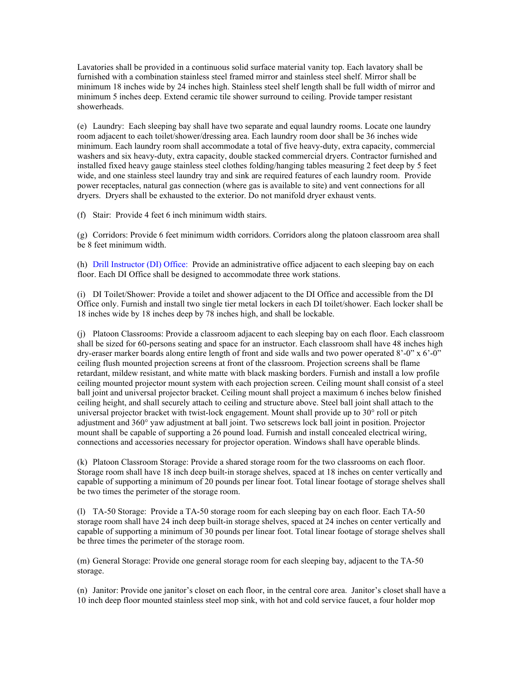Lavatories shall be provided in a continuous solid surface material vanity top. Each lavatory shall be furnished with a combination stainless steel framed mirror and stainless steel shelf. Mirror shall be minimum 18 inches wide by 24 inches high. Stainless steel shelf length shall be full width of mirror and minimum 5 inches deep. Extend ceramic tile shower surround to ceiling. Provide tamper resistant showerheads.

(e) Laundry: Each sleeping bay shall have two separate and equal laundry rooms. Locate one laundry room adjacent to each toilet/shower/dressing area. Each laundry room door shall be 36 inches wide minimum. Each laundry room shall accommodate a total of five heavy-duty, extra capacity, commercial washers and six heavy-duty, extra capacity, double stacked commercial dryers. Contractor furnished and installed fixed heavy gauge stainless steel clothes folding/hanging tables measuring 2 feet deep by 5 feet wide, and one stainless steel laundry tray and sink are required features of each laundry room. Provide power receptacles, natural gas connection (where gas is available to site) and vent connections for all dryers. Dryers shall be exhausted to the exterior. Do not manifold dryer exhaust vents.

(f) Stair: Provide 4 feet 6 inch minimum width stairs.

(g) Corridors: Provide 6 feet minimum width corridors. Corridors along the platoon classroom area shall be 8 feet minimum width.

(h) Drill Instructor (DI) Office: Provide an administrative office adjacent to each sleeping bay on each floor. Each DI Office shall be designed to accommodate three work stations.

(i) DI Toilet/Shower: Provide a toilet and shower adjacent to the DI Office and accessible from the DI Office only. Furnish and install two single tier metal lockers in each DI toilet/shower. Each locker shall be 18 inches wide by 18 inches deep by 78 inches high, and shall be lockable.

(j) Platoon Classrooms: Provide a classroom adjacent to each sleeping bay on each floor. Each classroom shall be sized for 60-persons seating and space for an instructor. Each classroom shall have 48 inches high dry-eraser marker boards along entire length of front and side walls and two power operated 8'-0" x 6'-0" ceiling flush mounted projection screens at front of the classroom. Projection screens shall be flame retardant, mildew resistant, and white matte with black masking borders. Furnish and install a low profile ceiling mounted projector mount system with each projection screen. Ceiling mount shall consist of a steel ball joint and universal projector bracket. Ceiling mount shall project a maximum 6 inches below finished ceiling height, and shall securely attach to ceiling and structure above. Steel ball joint shall attach to the universal projector bracket with twist-lock engagement. Mount shall provide up to  $30^{\circ}$  roll or pitch adjustment and 360° yaw adjustment at ball joint. Two setscrews lock ball joint in position. Projector mount shall be capable of supporting a 26 pound load. Furnish and install concealed electrical wiring, connections and accessories necessary for projector operation. Windows shall have operable blinds.

(k) Platoon Classroom Storage: Provide a shared storage room for the two classrooms on each floor. Storage room shall have 18 inch deep built-in storage shelves, spaced at 18 inches on center vertically and capable of supporting a minimum of 20 pounds per linear foot. Total linear footage of storage shelves shall be two times the perimeter of the storage room.

(l) TA-50 Storage: Provide a TA-50 storage room for each sleeping bay on each floor. Each TA-50 storage room shall have 24 inch deep built-in storage shelves, spaced at 24 inches on center vertically and capable of supporting a minimum of 30 pounds per linear foot. Total linear footage of storage shelves shall be three times the perimeter of the storage room.

(m) General Storage: Provide one general storage room for each sleeping bay, adjacent to the TA-50 storage.

(n) Janitor: Provide one janitor's closet on each floor, in the central core area. Janitor's closet shall have a 10 inch deep floor mounted stainless steel mop sink, with hot and cold service faucet, a four holder mop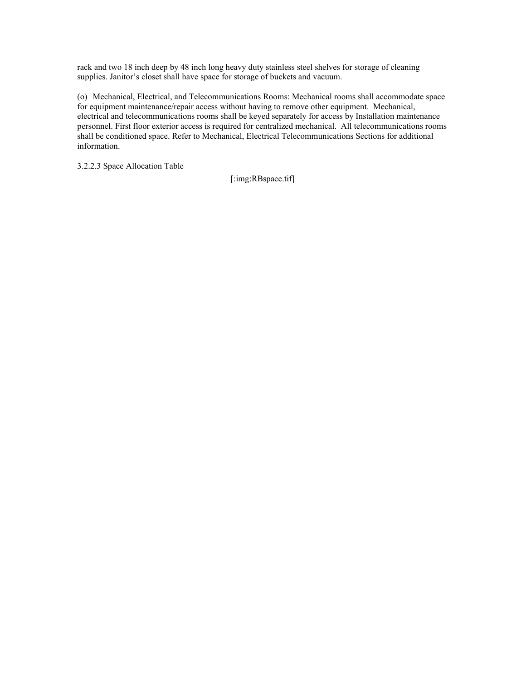rack and two 18 inch deep by 48 inch long heavy duty stainless steel shelves for storage of cleaning supplies. Janitor's closet shall have space for storage of buckets and vacuum.

(o) Mechanical, Electrical, and Telecommunications Rooms: Mechanical rooms shall accommodate space for equipment maintenance/repair access without having to remove other equipment. Mechanical, electrical and telecommunications rooms shall be keyed separately for access by Installation maintenance personnel. First floor exterior access is required for centralized mechanical. All telecommunications rooms shall be conditioned space. Refer to Mechanical, Electrical Telecommunications Sections for additional information.

3.2.2.3 Space Allocation Table

[:img:RBspace.tif]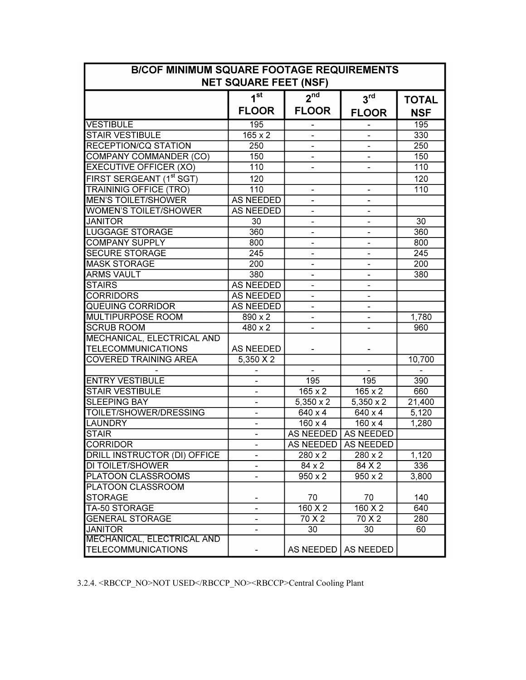| <b>BICOF MINIMUM SQUARE FOOTAGE REQUIREMENTS</b><br><b>NET SQUARE FEET (NSF)</b> |                  |                          |                     |                  |  |  |  |  |  |
|----------------------------------------------------------------------------------|------------------|--------------------------|---------------------|------------------|--|--|--|--|--|
|                                                                                  | 1 <sup>st</sup>  | $2^{nd}$                 | $3^{\text{rd}}$     | <b>TOTAL</b>     |  |  |  |  |  |
|                                                                                  | <b>FLOOR</b>     | <b>FLOOR</b>             | <b>FLOOR</b>        | <b>NSF</b>       |  |  |  |  |  |
| <b>VESTIBULE</b>                                                                 | 195              |                          |                     | 195              |  |  |  |  |  |
| <b>STAIR VESTIBULE</b>                                                           | $165 \times 2$   |                          |                     | 330              |  |  |  |  |  |
| <b>RECEPTION/CQ STATION</b>                                                      | 250              | $\overline{a}$           |                     | $\overline{250}$ |  |  |  |  |  |
| <b>COMPANY COMMANDER (CO)</b>                                                    | 150              | $\overline{\phantom{0}}$ |                     | 150              |  |  |  |  |  |
| <b>EXECUTIVE OFFICER (XO)</b>                                                    | 110              | $\overline{a}$           |                     | 110              |  |  |  |  |  |
| FIRST SERGEANT (1 <sup>st</sup> SGT)                                             | 120              |                          |                     | 120              |  |  |  |  |  |
| <b>TRAININIG OFFICE (TRO)</b>                                                    | 110              | $\overline{\phantom{0}}$ | $\overline{a}$      | 110              |  |  |  |  |  |
| <b>MEN'S TOILET/SHOWER</b>                                                       | <b>AS NEEDED</b> | $\blacksquare$           |                     |                  |  |  |  |  |  |
| <b>WOMEN'S TOILET/SHOWER</b>                                                     | <b>AS NEEDED</b> | ÷,                       |                     |                  |  |  |  |  |  |
| <b>JANITOR</b>                                                                   | 30               | L.                       |                     | $\overline{30}$  |  |  |  |  |  |
| <b>LUGGAGE STORAGE</b>                                                           | 360              |                          |                     | 360              |  |  |  |  |  |
| <b>COMPANY SUPPLY</b>                                                            | 800              |                          |                     | 800              |  |  |  |  |  |
| <b>SECURE STORAGE</b>                                                            | $\overline{245}$ |                          |                     | $\overline{245}$ |  |  |  |  |  |
| <b>MASK STORAGE</b>                                                              | $\overline{200}$ | $\overline{\phantom{0}}$ |                     | $\overline{200}$ |  |  |  |  |  |
| <b>ARMS VAULT</b>                                                                | 380              |                          |                     | 380              |  |  |  |  |  |
| <b>STAIRS</b>                                                                    | <b>AS NEEDED</b> |                          |                     |                  |  |  |  |  |  |
| <b>CORRIDORS</b>                                                                 | <b>AS NEEDED</b> | $\overline{\phantom{0}}$ |                     |                  |  |  |  |  |  |
| <b>QUEUING CORRIDOR</b>                                                          | <b>AS NEEDED</b> |                          |                     |                  |  |  |  |  |  |
| <b>MULTIPURPOSE ROOM</b>                                                         | 890 x 2          | -                        |                     | 1,780            |  |  |  |  |  |
| <b>SCRUB ROOM</b>                                                                | 480 x 2          |                          |                     | 960              |  |  |  |  |  |
| MECHANICAL, ELECTRICAL AND                                                       |                  |                          |                     |                  |  |  |  |  |  |
| <b>TELECOMMUNICATIONS</b>                                                        | <b>AS NEEDED</b> |                          |                     |                  |  |  |  |  |  |
| <b>COVERED TRAINING AREA</b>                                                     | $5,350 \times 2$ |                          |                     | 10,700           |  |  |  |  |  |
|                                                                                  |                  |                          |                     |                  |  |  |  |  |  |
| <b>ENTRY VESTIBULE</b>                                                           |                  | 195                      | 195                 | 390              |  |  |  |  |  |
| <b>STAIR VESTIBULE</b>                                                           |                  | $165 \times 2$           | $\frac{165}{2}$ x 2 | 660              |  |  |  |  |  |
| <b>SLEEPING BAY</b>                                                              |                  | $5,350 \times 2$         | $5,350 \times 2$    | 21,400           |  |  |  |  |  |
| TOILET/SHOWER/DRESSING                                                           |                  | $640 \times 4$           | $640 \times 4$      | 5,120            |  |  |  |  |  |
| <b>LAUNDRY</b>                                                                   |                  | $\frac{160 \times 4}{x}$ | $160 \times 4$      | 1,280            |  |  |  |  |  |
| <b>STAIR</b>                                                                     |                  | <b>AS NEEDED</b>         | <b>AS NEEDED</b>    |                  |  |  |  |  |  |
| <b>CORRIDOR</b>                                                                  |                  | <b>AS NEEDED</b>         | <b>AS NEEDED</b>    |                  |  |  |  |  |  |
| DRILL INSTRUCTOR (DI) OFFICE                                                     |                  | $280 \times 2$           | $280 \times 2$      | 1,120            |  |  |  |  |  |
| DI TOILET/SHOWER                                                                 |                  | 84 x 2                   | 84 X 2              | 336              |  |  |  |  |  |
| PLATOON CLASSROOMS                                                               |                  | $950 \times 2$           | $950 \times 2$      | 3,800            |  |  |  |  |  |
| PLATOON CLASSROOM                                                                |                  |                          |                     |                  |  |  |  |  |  |
| <b>STORAGE</b>                                                                   |                  | 70                       | 70                  | 140              |  |  |  |  |  |
| TA-50 STORAGE                                                                    |                  | 160 X 2                  | 160 X 2             | 640              |  |  |  |  |  |
| <b>GENERAL STORAGE</b>                                                           |                  | 70 X 2                   | 70 X 2              | 280              |  |  |  |  |  |
| <b>JANITOR</b>                                                                   |                  | 30                       | 30                  | 60               |  |  |  |  |  |
| <b>MECHANICAL, ELECTRICAL AND</b>                                                |                  |                          |                     |                  |  |  |  |  |  |
| <b>TELECOMMUNICATIONS</b>                                                        |                  | AS NEEDED                | AS NEEDED           |                  |  |  |  |  |  |

3.2.4. <RBCCP\_NO>NOT USED</RBCCP\_NO><RBCCP>Central Cooling Plant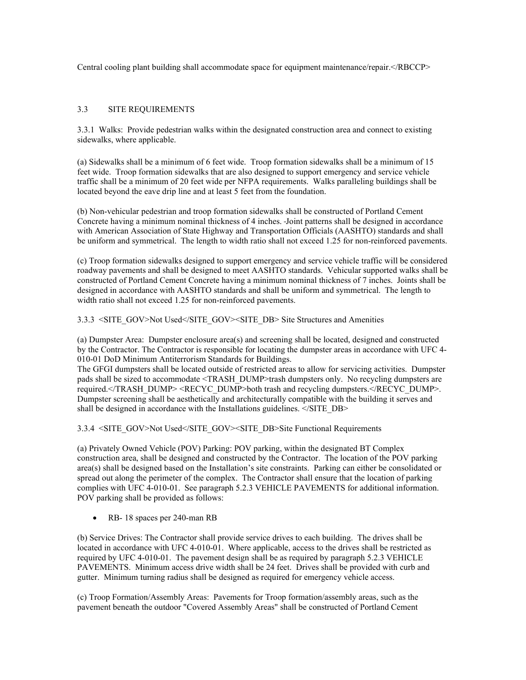Central cooling plant building shall accommodate space for equipment maintenance/repair.</RBCCP>

# 3.3 SITE REQUIREMENTS

3.3.1 Walks: Provide pedestrian walks within the designated construction area and connect to existing sidewalks, where applicable.

(a) Sidewalks shall be a minimum of 6 feet wide. Troop formation sidewalks shall be a minimum of 15 feet wide. Troop formation sidewalks that are also designed to support emergency and service vehicle traffic shall be a minimum of 20 feet wide per NFPA requirements. Walks paralleling buildings shall be located beyond the eave drip line and at least 5 feet from the foundation.

(b) Non-vehicular pedestrian and troop formation sidewalks shall be constructed of Portland Cement Concrete having a minimum nominal thickness of 4 inches. Joint patterns shall be designed in accordance with American Association of State Highway and Transportation Officials (AASHTO) standards and shall be uniform and symmetrical. The length to width ratio shall not exceed 1.25 for non-reinforced pavements.

(c) Troop formation sidewalks designed to support emergency and service vehicle traffic will be considered roadway pavements and shall be designed to meet AASHTO standards. Vehicular supported walks shall be constructed of Portland Cement Concrete having a minimum nominal thickness of 7 inches. Joints shall be designed in accordance with AASHTO standards and shall be uniform and symmetrical. The length to width ratio shall not exceed 1.25 for non-reinforced pavements.

3.3.3 <SITE\_GOV>Not Used</SITE\_GOV><SITE\_DB> Site Structures and Amenities

(a) Dumpster Area: Dumpster enclosure area(s) and screening shall be located, designed and constructed by the Contractor. The Contractor is responsible for locating the dumpster areas in accordance with UFC 4- 010-01 DoD Minimum Antiterrorism Standards for Buildings.

The GFGI dumpsters shall be located outside of restricted areas to allow for servicing activities. Dumpster pads shall be sized to accommodate <TRASH\_DUMP>trash dumpsters only. No recycling dumpsters are required.</TRASH\_DUMP> <RECYC\_DUMP>both trash and recycling dumpsters.</RECYC\_DUMP>. Dumpster screening shall be aesthetically and architecturally compatible with the building it serves and shall be designed in accordance with the Installations guidelines. </SITE\_DB>

3.3.4 <SITE\_GOV>Not Used</SITE\_GOV><SITE\_DB>Site Functional Requirements

(a) Privately Owned Vehicle (POV) Parking: POV parking, within the designated BT Complex construction area, shall be designed and constructed by the Contractor. The location of the POV parking area(s) shall be designed based on the Installation's site constraints. Parking can either be consolidated or spread out along the perimeter of the complex. The Contractor shall ensure that the location of parking complies with UFC 4-010-01. See paragraph 5.2.3 VEHICLE PAVEMENTS for additional information. POV parking shall be provided as follows:

• RB- 18 spaces per 240-man RB

(b) Service Drives: The Contractor shall provide service drives to each building. The drives shall be located in accordance with UFC 4-010-01. Where applicable, access to the drives shall be restricted as required by UFC 4-010-01. The pavement design shall be as required by paragraph 5.2.3 VEHICLE PAVEMENTS. Minimum access drive width shall be 24 feet. Drives shall be provided with curb and gutter. Minimum turning radius shall be designed as required for emergency vehicle access.

(c) Troop Formation/Assembly Areas: Pavements for Troop formation/assembly areas, such as the pavement beneath the outdoor "Covered Assembly Areas" shall be constructed of Portland Cement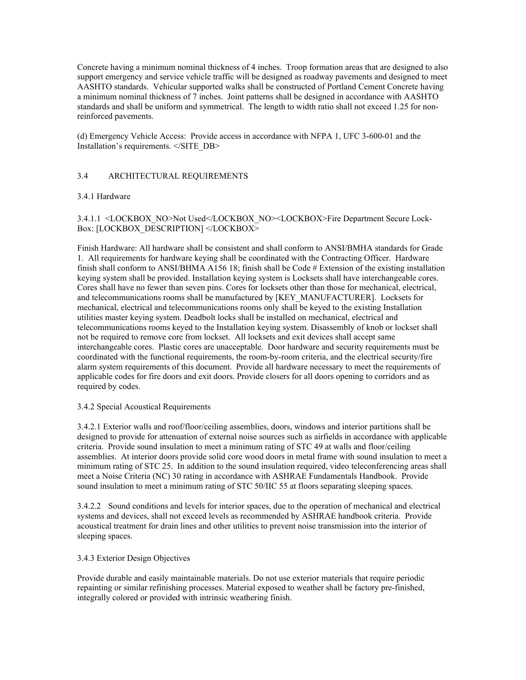Concrete having a minimum nominal thickness of 4 inches. Troop formation areas that are designed to also support emergency and service vehicle traffic will be designed as roadway pavements and designed to meet AASHTO standards. Vehicular supported walks shall be constructed of Portland Cement Concrete having a minimum nominal thickness of 7 inches. Joint patterns shall be designed in accordance with AASHTO standards and shall be uniform and symmetrical. The length to width ratio shall not exceed 1.25 for nonreinforced pavements.

(d) Emergency Vehicle Access: Provide access in accordance with NFPA 1, UFC 3-600-01 and the Installation's requirements. </SITE\_DB>

# 3.4 ARCHITECTURAL REQUIREMENTS

## 3.4.1 Hardware

3.4.1.1 <LOCKBOX\_NO>Not Used</LOCKBOX\_NO><LOCKBOX>Fire Department Secure Lock-Box: [LOCKBOX\_DESCRIPTION] </LOCKBOX>

Finish Hardware: All hardware shall be consistent and shall conform to ANSI/BMHA standards for Grade 1. All requirements for hardware keying shall be coordinated with the Contracting Officer. Hardware finish shall conform to ANSI/BHMA A156 18; finish shall be Code # Extension of the existing installation keying system shall be provided. Installation keying system is Locksets shall have interchangeable cores. Cores shall have no fewer than seven pins. Cores for locksets other than those for mechanical, electrical, and telecommunications rooms shall be manufactured by [KEY\_MANUFACTURER]. Locksets for mechanical, electrical and telecommunications rooms only shall be keyed to the existing Installation utilities master keying system. Deadbolt locks shall be installed on mechanical, electrical and telecommunications rooms keyed to the Installation keying system. Disassembly of knob or lockset shall not be required to remove core from lockset. All locksets and exit devices shall accept same interchangeable cores. Plastic cores are unacceptable. Door hardware and security requirements must be coordinated with the functional requirements, the room-by-room criteria, and the electrical security/fire alarm system requirements of this document. Provide all hardware necessary to meet the requirements of applicable codes for fire doors and exit doors. Provide closers for all doors opening to corridors and as required by codes.

### 3.4.2 Special Acoustical Requirements

3.4.2.1 Exterior walls and roof/floor/ceiling assemblies, doors, windows and interior partitions shall be designed to provide for attenuation of external noise sources such as airfields in accordance with applicable criteria. Provide sound insulation to meet a minimum rating of STC 49 at walls and floor/ceiling assemblies. At interior doors provide solid core wood doors in metal frame with sound insulation to meet a minimum rating of STC 25. In addition to the sound insulation required, video teleconferencing areas shall meet a Noise Criteria (NC) 30 rating in accordance with ASHRAE Fundamentals Handbook. Provide sound insulation to meet a minimum rating of STC 50/IIC 55 at floors separating sleeping spaces.

3.4.2.2 Sound conditions and levels for interior spaces, due to the operation of mechanical and electrical systems and devices, shall not exceed levels as recommended by ASHRAE handbook criteria. Provide acoustical treatment for drain lines and other utilities to prevent noise transmission into the interior of sleeping spaces.

## 3.4.3 Exterior Design Objectives

Provide durable and easily maintainable materials. Do not use exterior materials that require periodic repainting or similar refinishing processes. Material exposed to weather shall be factory pre-finished, integrally colored or provided with intrinsic weathering finish.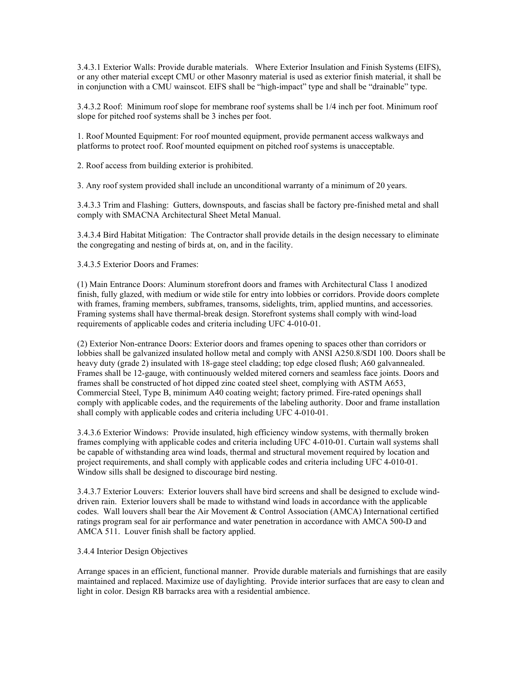3.4.3.1 Exterior Walls: Provide durable materials. Where Exterior Insulation and Finish Systems (EIFS), or any other material except CMU or other Masonry material is used as exterior finish material, it shall be in conjunction with a CMU wainscot. EIFS shall be "high-impact" type and shall be "drainable" type.

3.4.3.2 Roof: Minimum roof slope for membrane roof systems shall be 1/4 inch per foot. Minimum roof slope for pitched roof systems shall be 3 inches per foot.

1. Roof Mounted Equipment: For roof mounted equipment, provide permanent access walkways and platforms to protect roof. Roof mounted equipment on pitched roof systems is unacceptable.

2. Roof access from building exterior is prohibited.

3. Any roof system provided shall include an unconditional warranty of a minimum of 20 years.

3.4.3.3 Trim and Flashing: Gutters, downspouts, and fascias shall be factory pre-finished metal and shall comply with SMACNA Architectural Sheet Metal Manual.

3.4.3.4 Bird Habitat Mitigation: The Contractor shall provide details in the design necessary to eliminate the congregating and nesting of birds at, on, and in the facility.

3.4.3.5 Exterior Doors and Frames:

(1) Main Entrance Doors: Aluminum storefront doors and frames with Architectural Class 1 anodized finish, fully glazed, with medium or wide stile for entry into lobbies or corridors. Provide doors complete with frames, framing members, subframes, transoms, sidelights, trim, applied muntins, and accessories. Framing systems shall have thermal-break design. Storefront systems shall comply with wind-load requirements of applicable codes and criteria including UFC 4-010-01.

(2) Exterior Non-entrance Doors: Exterior doors and frames opening to spaces other than corridors or lobbies shall be galvanized insulated hollow metal and comply with ANSI A250.8/SDI 100. Doors shall be heavy duty (grade 2) insulated with 18-gage steel cladding; top edge closed flush; A60 galvannealed. Frames shall be 12-gauge, with continuously welded mitered corners and seamless face joints. Doors and frames shall be constructed of hot dipped zinc coated steel sheet, complying with ASTM A653, Commercial Steel, Type B, minimum A40 coating weight; factory primed. Fire-rated openings shall comply with applicable codes, and the requirements of the labeling authority. Door and frame installation shall comply with applicable codes and criteria including UFC 4-010-01.

3.4.3.6 Exterior Windows: Provide insulated, high efficiency window systems, with thermally broken frames complying with applicable codes and criteria including UFC 4-010-01. Curtain wall systems shall be capable of withstanding area wind loads, thermal and structural movement required by location and project requirements, and shall comply with applicable codes and criteria including UFC 4-010-01. Window sills shall be designed to discourage bird nesting.

3.4.3.7 Exterior Louvers: Exterior louvers shall have bird screens and shall be designed to exclude winddriven rain. Exterior louvers shall be made to withstand wind loads in accordance with the applicable codes. Wall louvers shall bear the Air Movement & Control Association (AMCA) International certified ratings program seal for air performance and water penetration in accordance with AMCA 500-D and AMCA 511. Louver finish shall be factory applied.

### 3.4.4 Interior Design Objectives

Arrange spaces in an efficient, functional manner. Provide durable materials and furnishings that are easily maintained and replaced. Maximize use of daylighting. Provide interior surfaces that are easy to clean and light in color. Design RB barracks area with a residential ambience.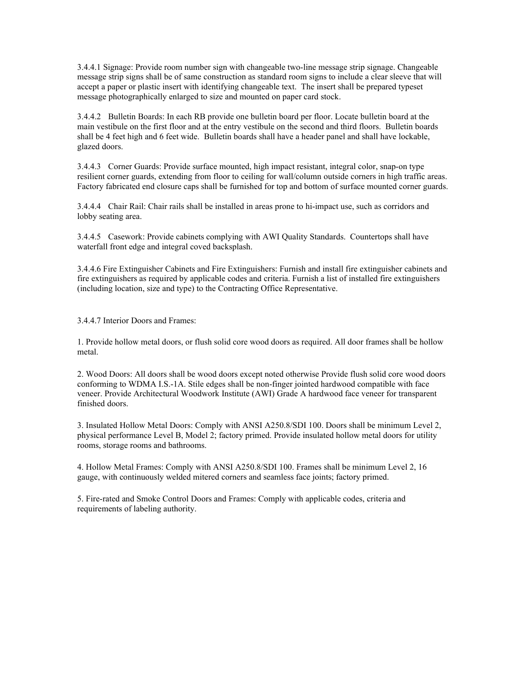3.4.4.1 Signage: Provide room number sign with changeable two-line message strip signage. Changeable message strip signs shall be of same construction as standard room signs to include a clear sleeve that will accept a paper or plastic insert with identifying changeable text. The insert shall be prepared typeset message photographically enlarged to size and mounted on paper card stock.

3.4.4.2 Bulletin Boards: In each RB provide one bulletin board per floor. Locate bulletin board at the main vestibule on the first floor and at the entry vestibule on the second and third floors. Bulletin boards shall be 4 feet high and 6 feet wide. Bulletin boards shall have a header panel and shall have lockable, glazed doors.

3.4.4.3 Corner Guards: Provide surface mounted, high impact resistant, integral color, snap-on type resilient corner guards, extending from floor to ceiling for wall/column outside corners in high traffic areas. Factory fabricated end closure caps shall be furnished for top and bottom of surface mounted corner guards.

3.4.4.4 Chair Rail: Chair rails shall be installed in areas prone to hi-impact use, such as corridors and lobby seating area.

3.4.4.5 Casework: Provide cabinets complying with AWI Quality Standards. Countertops shall have waterfall front edge and integral coved backsplash.

3.4.4.6 Fire Extinguisher Cabinets and Fire Extinguishers: Furnish and install fire extinguisher cabinets and fire extinguishers as required by applicable codes and criteria. Furnish a list of installed fire extinguishers (including location, size and type) to the Contracting Office Representative.

3.4.4.7 Interior Doors and Frames:

1. Provide hollow metal doors, or flush solid core wood doors as required. All door frames shall be hollow metal.

2. Wood Doors: All doors shall be wood doors except noted otherwise Provide flush solid core wood doors conforming to WDMA I.S.-1A. Stile edges shall be non-finger jointed hardwood compatible with face veneer. Provide Architectural Woodwork Institute (AWI) Grade A hardwood face veneer for transparent finished doors.

3. Insulated Hollow Metal Doors: Comply with ANSI A250.8/SDI 100. Doors shall be minimum Level 2, physical performance Level B, Model 2; factory primed. Provide insulated hollow metal doors for utility rooms, storage rooms and bathrooms.

4. Hollow Metal Frames: Comply with ANSI A250.8/SDI 100. Frames shall be minimum Level 2, 16 gauge, with continuously welded mitered corners and seamless face joints; factory primed.

5. Fire-rated and Smoke Control Doors and Frames: Comply with applicable codes, criteria and requirements of labeling authority.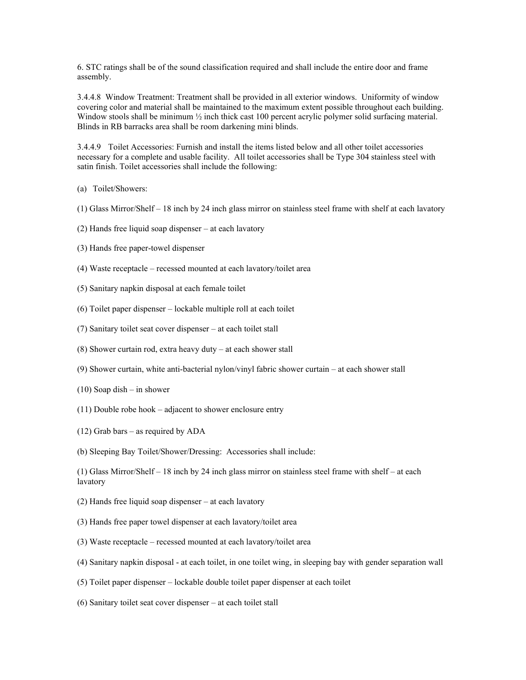6. STC ratings shall be of the sound classification required and shall include the entire door and frame assembly.

3.4.4.8 Window Treatment: Treatment shall be provided in all exterior windows. Uniformity of window covering color and material shall be maintained to the maximum extent possible throughout each building. Window stools shall be minimum  $\frac{1}{2}$  inch thick cast 100 percent acrylic polymer solid surfacing material. Blinds in RB barracks area shall be room darkening mini blinds.

3.4.4.9 Toilet Accessories: Furnish and install the items listed below and all other toilet accessories necessary for a complete and usable facility. All toilet accessories shall be Type 304 stainless steel with satin finish. Toilet accessories shall include the following:

- (a) Toilet/Showers:
- (1) Glass Mirror/Shelf 18 inch by 24 inch glass mirror on stainless steel frame with shelf at each lavatory
- (2) Hands free liquid soap dispenser at each lavatory
- (3) Hands free paper-towel dispenser
- (4) Waste receptacle recessed mounted at each lavatory/toilet area
- (5) Sanitary napkin disposal at each female toilet
- (6) Toilet paper dispenser lockable multiple roll at each toilet
- (7) Sanitary toilet seat cover dispenser at each toilet stall
- (8) Shower curtain rod, extra heavy duty at each shower stall
- (9) Shower curtain, white anti-bacterial nylon/vinyl fabric shower curtain at each shower stall
- $(10)$  Soap dish in shower
- (11) Double robe hook adjacent to shower enclosure entry
- (12) Grab bars as required by ADA
- (b) Sleeping Bay Toilet/Shower/Dressing: Accessories shall include:

(1) Glass Mirror/Shelf – 18 inch by 24 inch glass mirror on stainless steel frame with shelf – at each lavatory

- (2) Hands free liquid soap dispenser at each lavatory
- (3) Hands free paper towel dispenser at each lavatory/toilet area
- (3) Waste receptacle recessed mounted at each lavatory/toilet area
- (4) Sanitary napkin disposal at each toilet, in one toilet wing, in sleeping bay with gender separation wall
- (5) Toilet paper dispenser lockable double toilet paper dispenser at each toilet
- (6) Sanitary toilet seat cover dispenser at each toilet stall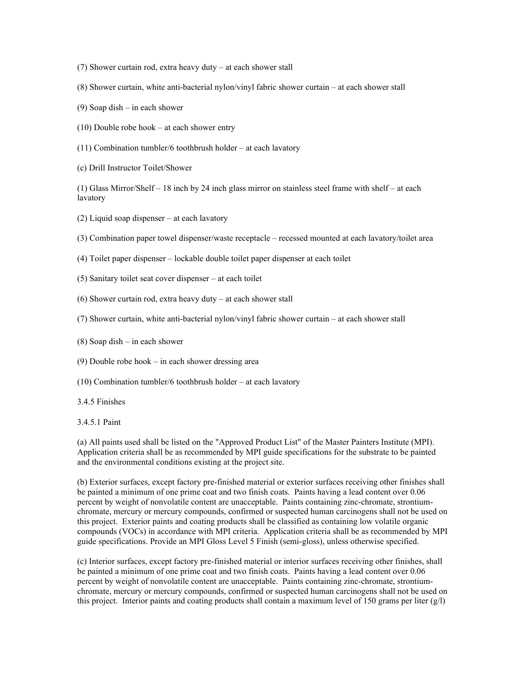- (7) Shower curtain rod, extra heavy duty at each shower stall
- (8) Shower curtain, white anti-bacterial nylon/vinyl fabric shower curtain at each shower stall
- (9) Soap dish in each shower
- (10) Double robe hook at each shower entry
- (11) Combination tumbler/6 toothbrush holder at each lavatory
- (c) Drill Instructor Toilet/Shower

(1) Glass Mirror/Shelf – 18 inch by 24 inch glass mirror on stainless steel frame with shelf – at each lavatory

- (2) Liquid soap dispenser at each lavatory
- (3) Combination paper towel dispenser/waste receptacle recessed mounted at each lavatory/toilet area
- (4) Toilet paper dispenser lockable double toilet paper dispenser at each toilet
- (5) Sanitary toilet seat cover dispenser at each toilet
- (6) Shower curtain rod, extra heavy duty at each shower stall
- (7) Shower curtain, white anti-bacterial nylon/vinyl fabric shower curtain at each shower stall
- (8) Soap dish in each shower
- (9) Double robe hook in each shower dressing area
- (10) Combination tumbler/6 toothbrush holder at each lavatory
- 3.4.5 Finishes

3.4.5.1 Paint

(a) All paints used shall be listed on the "Approved Product List" of the Master Painters Institute (MPI). Application criteria shall be as recommended by MPI guide specifications for the substrate to be painted and the environmental conditions existing at the project site.

(b) Exterior surfaces, except factory pre-finished material or exterior surfaces receiving other finishes shall be painted a minimum of one prime coat and two finish coats. Paints having a lead content over 0.06 percent by weight of nonvolatile content are unacceptable. Paints containing zinc-chromate, strontiumchromate, mercury or mercury compounds, confirmed or suspected human carcinogens shall not be used on this project. Exterior paints and coating products shall be classified as containing low volatile organic compounds (VOCs) in accordance with MPI criteria. Application criteria shall be as recommended by MPI guide specifications. Provide an MPI Gloss Level 5 Finish (semi-gloss), unless otherwise specified.

(c) Interior surfaces, except factory pre-finished material or interior surfaces receiving other finishes, shall be painted a minimum of one prime coat and two finish coats. Paints having a lead content over 0.06 percent by weight of nonvolatile content are unacceptable. Paints containing zinc-chromate, strontiumchromate, mercury or mercury compounds, confirmed or suspected human carcinogens shall not be used on this project. Interior paints and coating products shall contain a maximum level of 150 grams per liter  $(g/l)$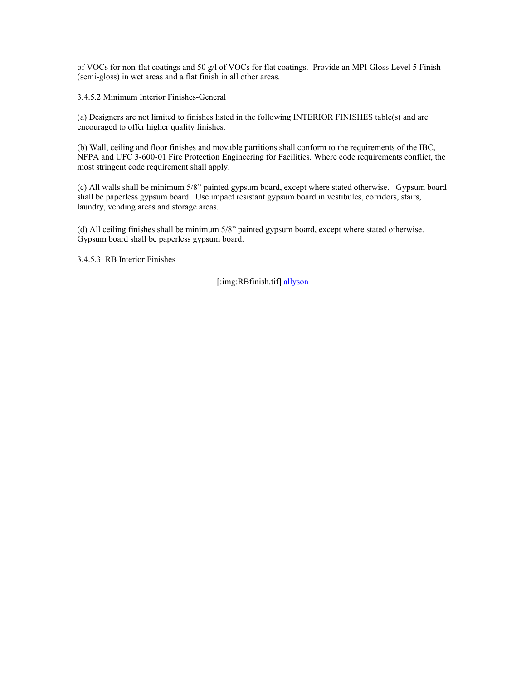of VOCs for non-flat coatings and 50 g/l of VOCs for flat coatings. Provide an MPI Gloss Level 5 Finish (semi-gloss) in wet areas and a flat finish in all other areas.

3.4.5.2 Minimum Interior Finishes-General

(a) Designers are not limited to finishes listed in the following INTERIOR FINISHES table(s) and are encouraged to offer higher quality finishes.

(b) Wall, ceiling and floor finishes and movable partitions shall conform to the requirements of the IBC, NFPA and UFC 3-600-01 Fire Protection Engineering for Facilities. Where code requirements conflict, the most stringent code requirement shall apply.

(c) All walls shall be minimum 5/8" painted gypsum board, except where stated otherwise. Gypsum board shall be paperless gypsum board. Use impact resistant gypsum board in vestibules, corridors, stairs, laundry, vending areas and storage areas.

(d) All ceiling finishes shall be minimum 5/8" painted gypsum board, except where stated otherwise. Gypsum board shall be paperless gypsum board.

3.4.5.3 RB Interior Finishes

[:img:RBfinish.tif] allyson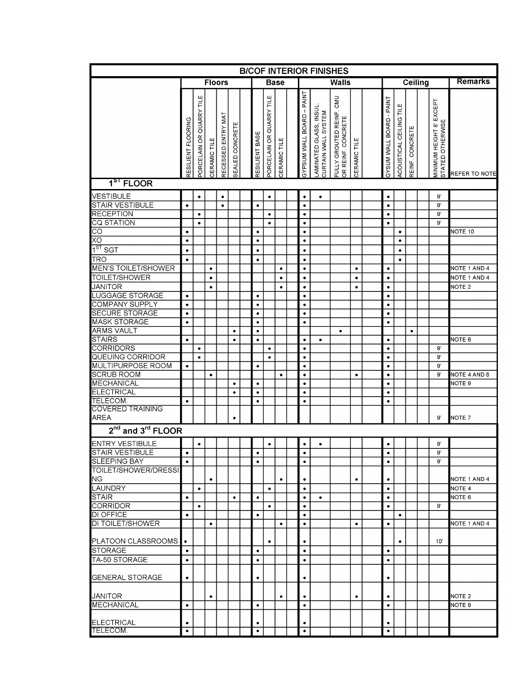|                                             |                    |                          |              |                    |                 |  |                |                          |              |                           | <b>BICOF INTERIOR FINISHES</b>                |                                                |              |  |                          |                         |                 |                |                                              |                      |
|---------------------------------------------|--------------------|--------------------------|--------------|--------------------|-----------------|--|----------------|--------------------------|--------------|---------------------------|-----------------------------------------------|------------------------------------------------|--------------|--|--------------------------|-------------------------|-----------------|----------------|----------------------------------------------|----------------------|
|                                             | <b>Floors</b>      |                          |              |                    |                 |  | <b>Base</b>    | <b>Walls</b>             |              |                           |                                               |                                                | Ceiling      |  |                          |                         |                 | <b>Remarks</b> |                                              |                      |
|                                             | RESILIENT FLOORING | PORCELAIN OR QUARRY TILE | CERAMIC TILE | RECESSED ENTRY MAT | SEALED CONCRETE |  | RESILIENT BASE | PORCELAIN OR QUARRY TILE | CERAMIC TILE | GYPSUM WALL BOARD - PAINT | LAMINATED GLASS, INSUL<br>CURTAIN WALL SYSTEM | FULLY GROUTED REINF, CMU<br>OR REINF. CONCRETE | CERAMIC TILE |  | GYSUM WALL BOARD - PAINT | ACOUSTICAL CEILING TILE | REINF, CONCRETE |                | MINIMUM HEIGHT 8' EXCEPT<br>STATED OTHERWISE | <b>REFER TO NOTE</b> |
| $151$ FLOOR                                 |                    |                          |              |                    |                 |  |                |                          |              |                           |                                               |                                                |              |  |                          |                         |                 |                |                                              |                      |
| <b>VESTIBULE</b>                            |                    | ٠                        |              | $\bullet$          |                 |  |                | $\bullet$                |              | $\bullet$                 | $\bullet$                                     |                                                |              |  | $\bullet$                |                         |                 |                | 9,                                           |                      |
| <b>STAIR VESTIBULE</b>                      | $\bullet$          |                          |              | $\bullet$          |                 |  | $\bullet$      |                          |              | $\bullet$                 |                                               |                                                |              |  | $\bullet$                |                         |                 |                | 9,                                           |                      |
| <b>RECEPTION</b>                            |                    | $\bullet$                |              |                    |                 |  |                | $\bullet$                |              | $\bullet$                 |                                               |                                                |              |  | $\bullet$                |                         |                 |                | $9^\circ$                                    |                      |
| <b>CQ STATION</b>                           |                    | $\bullet$                |              |                    |                 |  |                |                          |              | $\bullet$                 |                                               |                                                |              |  | $\bullet$                |                         |                 |                | 9'                                           |                      |
| СO                                          | $\bullet$          |                          |              |                    |                 |  | $\bullet$      |                          |              | $\bullet$                 |                                               |                                                |              |  |                          | $\bullet$               |                 |                |                                              | NOTE 10              |
| ΧO<br>1 <sup>ST</sup> SGT                   | $\bullet$          |                          |              |                    |                 |  | $\bullet$      |                          |              | $\bullet$                 |                                               |                                                |              |  |                          | $\bullet$               |                 |                |                                              |                      |
|                                             | $\bullet$          |                          |              |                    |                 |  | $\bullet$      |                          |              | $\bullet$                 |                                               |                                                |              |  |                          | $\bullet$               |                 |                |                                              |                      |
| <b>TRO</b><br><b>MEN'S TOILET/SHOWER</b>    | $\bullet$          |                          | $\bullet$    |                    |                 |  | $\bullet$      |                          | $\bullet$    | $\bullet$<br>$\bullet$    |                                               |                                                | $\bullet$    |  | $\bullet$                | $\bullet$               |                 |                |                                              | NOTE 1 AND 4         |
| <b>TOILET/SHOWER</b>                        |                    |                          | ٠            |                    |                 |  |                |                          | $\bullet$    | $\bullet$                 |                                               |                                                | $\bullet$    |  | $\bullet$                |                         |                 |                |                                              | NOTE 1 AND 4         |
| <b>JANITOR</b>                              |                    |                          | ٠            |                    |                 |  |                |                          | ٠            | ٠                         |                                               |                                                | $\bullet$    |  | $\bullet$                |                         |                 |                |                                              | NOTE <sub>2</sub>    |
| <b>LUGGAGE STORAGE</b>                      | $\bullet$          |                          |              |                    |                 |  | $\bullet$      |                          |              | $\bullet$                 |                                               |                                                |              |  | $\bullet$                |                         |                 |                |                                              |                      |
| <b>COMPANY SUPPLY</b>                       | $\bullet$          |                          |              |                    |                 |  | $\bullet$      |                          |              | $\bullet$                 |                                               |                                                |              |  | $\bullet$                |                         |                 |                |                                              |                      |
| <b>SECURE STORAGE</b>                       | $\bullet$          |                          |              |                    |                 |  | $\bullet$      |                          |              | $\bullet$                 |                                               |                                                |              |  | $\bullet$                |                         |                 |                |                                              |                      |
| <b>MASK STORAGE</b>                         | $\bullet$          |                          |              |                    |                 |  | $\bullet$      |                          |              | $\bullet$                 |                                               |                                                |              |  | $\bullet$                |                         |                 |                |                                              |                      |
| <b>ARMS VAULT</b>                           |                    |                          |              |                    | ٠               |  | $\bullet$      |                          |              |                           |                                               | ٠                                              |              |  |                          |                         | ٠               |                |                                              |                      |
| <b>STAIRS</b><br><b>CORRIDORS</b>           | $\bullet$          |                          |              |                    | $\bullet$       |  | $\bullet$      | ٠                        |              | $\bullet$                 | ٠                                             |                                                |              |  | $\bullet$<br>$\bullet$   |                         |                 |                | $9^{\circ}$                                  | NOTE 6               |
| <b>QUEUING CORRIDOR</b>                     |                    | ٠<br>$\bullet$           |              |                    |                 |  |                | $\bullet$                |              | $\bullet$<br>$\bullet$    |                                               |                                                |              |  | $\bullet$                |                         |                 |                | $9^{\circ}$                                  |                      |
| <b>MULTIPURPOSE ROOM</b>                    | $\bullet$          |                          |              |                    |                 |  | $\bullet$      |                          |              | $\bullet$                 |                                               |                                                |              |  | $\bullet$                |                         |                 |                | 9'                                           |                      |
| <b>SCRUB ROOM</b>                           |                    |                          | ٠            |                    |                 |  |                |                          | $\bullet$    | $\bullet$                 |                                               |                                                | ٠            |  | $\bullet$                |                         |                 |                | 9'                                           | NOTE 4 AND 8         |
| MECHANICAL                                  |                    |                          |              |                    | $\bullet$       |  | $\bullet$      |                          |              | $\bullet$                 |                                               |                                                |              |  | $\bullet$                |                         |                 |                |                                              | NOTE 9               |
| <b>ELECTRICAL</b>                           |                    |                          |              |                    | $\bullet$       |  | $\bullet$      |                          |              | $\bullet$                 |                                               |                                                |              |  | $\bullet$                |                         |                 |                |                                              |                      |
| TELECOM.                                    | $\bullet$          |                          |              |                    |                 |  | $\bullet$      |                          |              | $\bullet$                 |                                               |                                                |              |  | $\bullet$                |                         |                 |                |                                              |                      |
| <b>COVERED TRAINING</b><br><b>AREA</b>      |                    |                          |              |                    | ٠               |  |                |                          |              |                           |                                               |                                                |              |  |                          |                         |                 |                | 9'                                           | NOTE <sub>7</sub>    |
|                                             |                    |                          |              |                    |                 |  |                |                          |              |                           |                                               |                                                |              |  |                          |                         |                 |                |                                              |                      |
| 2 <sup>nd</sup> and 3 <sup>rd</sup> FLOOR   |                    |                          |              |                    |                 |  |                |                          |              |                           |                                               |                                                |              |  |                          |                         |                 |                |                                              |                      |
| <b>ENTRY VESTIBULE</b>                      |                    | ٠                        |              |                    |                 |  |                | ٠                        |              | $\bullet$                 | $\bullet$                                     |                                                |              |  | $\bullet$                |                         |                 |                | 9,                                           |                      |
| <b>STAIR VESTIBULE</b>                      | $\bullet$          |                          |              |                    |                 |  | $\bullet$      |                          |              | $\bullet$                 |                                               |                                                |              |  | $\bullet$                |                         |                 |                | 9'                                           |                      |
| <b>SLEEPING BAY</b><br>TOILET/SHOWER/DRESSI | $\bullet$          |                          |              |                    |                 |  | $\bullet$      |                          |              | $\bullet$                 |                                               |                                                |              |  | $\bullet$                |                         |                 |                | 9'                                           |                      |
| <b>NG</b>                                   |                    |                          | $\bullet$    |                    |                 |  |                |                          | ٠            | $\bullet$                 |                                               |                                                | $\bullet$    |  | $\bullet$                |                         |                 |                |                                              | NOTE 1 AND 4         |
| <b>LAUNDRY</b>                              |                    | $\bullet$                |              |                    |                 |  |                | $\bullet$                |              | $\bullet$                 |                                               |                                                |              |  | $\bullet$                |                         |                 |                |                                              | NOTE <sub>4</sub>    |
| <b>STAIR</b>                                | $\bullet$          |                          |              |                    | $\bullet$       |  | $\bullet$      |                          |              | $\bullet$                 | ٠                                             |                                                |              |  | $\bullet$                |                         |                 |                |                                              | NOTE 6               |
| <b>CORRIDOR</b>                             |                    | $\bullet$                |              |                    |                 |  |                | $\bullet$                |              | $\bullet$                 |                                               |                                                |              |  | $\bullet$                |                         |                 |                | 9'                                           |                      |
| <b>DI OFFICE</b>                            | $\bullet$          |                          |              |                    |                 |  | $\bullet$      |                          |              | $\bullet$                 |                                               |                                                |              |  |                          | $\bullet$               |                 |                |                                              |                      |
| DI TOILET/SHOWER                            |                    |                          | $\bullet$    |                    |                 |  |                |                          | $\bullet$    | $\bullet$                 |                                               |                                                | $\bullet$    |  | $\bullet$                |                         |                 |                |                                              | NOTE 1 AND 4         |
| <b>PLATOON CLASSROOMS</b>                   | $\bullet$          |                          |              |                    |                 |  |                | ٠                        |              | $\bullet$                 |                                               |                                                |              |  |                          | $\bullet$               |                 |                | 10'                                          |                      |
| <b>STORAGE</b>                              | $\bullet$          |                          |              |                    |                 |  | $\bullet$      |                          |              | $\bullet$                 |                                               |                                                |              |  | $\bullet$                |                         |                 |                |                                              |                      |
| TA-50 STORAGE                               | $\bullet$          |                          |              |                    |                 |  | $\bullet$      |                          |              | $\bullet$                 |                                               |                                                |              |  | $\bullet$                |                         |                 |                |                                              |                      |
|                                             |                    |                          |              |                    |                 |  |                |                          |              |                           |                                               |                                                |              |  |                          |                         |                 |                |                                              |                      |
| <b>GENERAL STORAGE</b>                      | $\bullet$          |                          |              |                    |                 |  | $\bullet$      |                          |              | $\bullet$                 |                                               |                                                |              |  | $\bullet$                |                         |                 |                |                                              |                      |
| <b>JANITOR</b>                              |                    |                          |              |                    |                 |  |                |                          |              |                           |                                               |                                                |              |  |                          |                         |                 |                |                                              | NOTE <sub>2</sub>    |
| <b>MECHANICAL</b>                           | $\bullet$          |                          | $\bullet$    |                    |                 |  | $\bullet$      |                          | $\bullet$    | $\bullet$<br>$\bullet$    |                                               |                                                | $\bullet$    |  | $\bullet$<br>$\bullet$   |                         |                 |                |                                              | NOTE 9               |
|                                             |                    |                          |              |                    |                 |  |                |                          |              |                           |                                               |                                                |              |  |                          |                         |                 |                |                                              |                      |
| ELECTRICAL                                  | ٠                  |                          |              |                    |                 |  | ٠              |                          |              | ٠                         |                                               |                                                |              |  | ٠                        |                         |                 |                |                                              |                      |
| ITELECOM.                                   | $\bullet$          |                          |              |                    |                 |  | $\bullet$      |                          |              | $\bullet$                 |                                               |                                                |              |  | $\bullet$                |                         |                 |                |                                              |                      |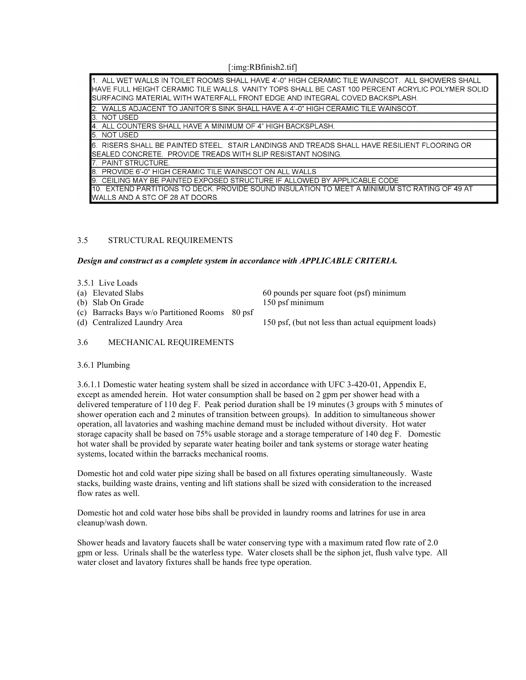[:img:RBfinish2.tif]

| 1. ALL WET WALLS IN TOILET ROOMS SHALL HAVE 4'-0" HIGH CERAMIC TILE WAINSCOT. ALL SHOWERS SHALL<br><b>I</b> HAVE FULL HEIGHT CERAMIC TILE WALLS. VANITY TOPS SHALL BE CAST 100 PERCENT ACRYLIC POLYMER SOLID<br>ISURFACING MATERIAL WITH WATERFALL FRONT EDGE AND INTEGRAL COVED BACKSPLASH. |
|----------------------------------------------------------------------------------------------------------------------------------------------------------------------------------------------------------------------------------------------------------------------------------------------|
| 2. WALLS ADJACENT TO JANITOR'S SINK SHALL HAVE A 4'-0" HIGH CERAMIC TILE WAINSCOT.                                                                                                                                                                                                           |
| <b>3 NOT USED</b>                                                                                                                                                                                                                                                                            |
| 4. ALL COUNTERS SHALL HAVE A MINIMUM OF 4" HIGH BACKSPLASH.                                                                                                                                                                                                                                  |
| 5. NOT USED                                                                                                                                                                                                                                                                                  |
| <b>I</b> 6. RISERS SHALL BE PAINTED STEEL. STAIR LANDINGS AND TREADS SHALL HAVE RESILIENT FLOORING OR<br><b>I</b> SEALED CONCRETE. PROVIDE TREADS WITH SLIP RESISTANT NOSING.                                                                                                                |
| <b>7. PAINT STRUCTURE.</b>                                                                                                                                                                                                                                                                   |
| B. PROVIDE 6'-0" HIGH CERAMIC TILE WAINSCOT ON ALL WALLS                                                                                                                                                                                                                                     |
| 9. CEILING MAY BE PAINTED EXPOSED STRUCTURE IF ALLOWED BY APPLICABLE CODE                                                                                                                                                                                                                    |
| <b>110. EXTEND PARTITIONS TO DECK. PROVIDE SOUND INSULATION TO MEET A MINIMUM STC RATING OF 49 AT</b>                                                                                                                                                                                        |
| <b>I</b> WALLS AND A STC OF 28 AT DOORS.                                                                                                                                                                                                                                                     |

## 3.5 STRUCTURAL REQUIREMENTS

*Design and construct as a complete system in accordance with APPLICABLE CRITERIA.*

3.5.1 Live Loads

(b) Slab On Grade

(c) Barracks Bays w/o Partitioned Rooms 80 psf

(a) Elevated Slabs 60 pounds per square foot (psf) minimum<br>
(b) Slab On Grade 150 psf minimum

(d) Centralized Laundry Area 150 psf, (but not less than actual equipment loads)

### 3.6 MECHANICAL REQUIREMENTS

### 3.6.1 Plumbing

3.6.1.1 Domestic water heating system shall be sized in accordance with UFC 3-420-01, Appendix E, except as amended herein. Hot water consumption shall be based on 2 gpm per shower head with a delivered temperature of 110 deg F. Peak period duration shall be 19 minutes (3 groups with 5 minutes of shower operation each and 2 minutes of transition between groups). In addition to simultaneous shower operation, all lavatories and washing machine demand must be included without diversity. Hot water storage capacity shall be based on 75% usable storage and a storage temperature of 140 deg F. Domestic hot water shall be provided by separate water heating boiler and tank systems or storage water heating systems, located within the barracks mechanical rooms.

Domestic hot and cold water pipe sizing shall be based on all fixtures operating simultaneously. Waste stacks, building waste drains, venting and lift stations shall be sized with consideration to the increased flow rates as well.

Domestic hot and cold water hose bibs shall be provided in laundry rooms and latrines for use in area cleanup/wash down.

Shower heads and lavatory faucets shall be water conserving type with a maximum rated flow rate of 2.0 gpm or less. Urinals shall be the waterless type. Water closets shall be the siphon jet, flush valve type. All water closet and lavatory fixtures shall be hands free type operation.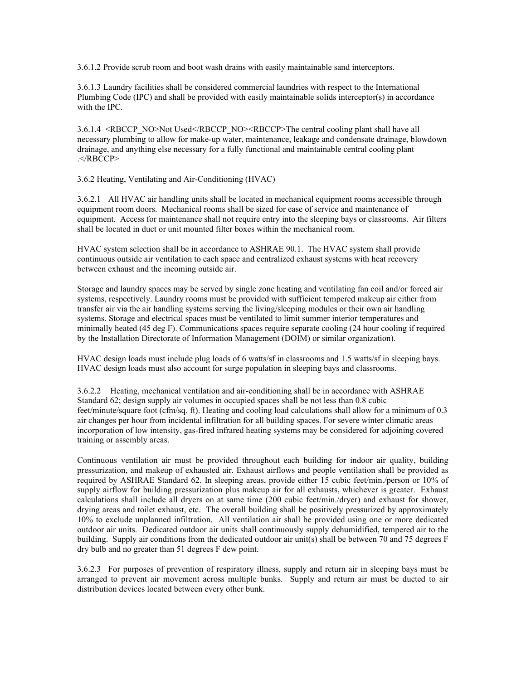3.6.1.2 Provide scrub room and boot wash drains with easily maintainable sand interceptors.

3.6.1.3 Laundry facilities shall be considered commercial laundries with respect to the International Plumbing Code (IPC) and shall be provided with easily maintainable solids interceptor(s) in accordance with the IPC.

3.6.1.4 <RBCCP\_NO>Not Used</RBCCP\_NO><RBCCP>The central cooling plant shall have all necessary plumbing to allow for make-up water, maintenance, leakage and condensate drainage, blowdown drainage, and anything else necessary for a fully functional and maintainable central cooling plant .</RBCCP>

3.6.2 Heating, Ventilating and Air-Conditioning (HVAC)

3.6.2.1 All HVAC air handling units shall be located in mechanical equipment rooms accessible through equipment room doors. Mechanical rooms shall be sized for ease of service and maintenance of equipment. Access for maintenance shall not require entry into the sleeping bays or classrooms. Air filters shall be located in duct or unit mounted filter boxes within the mechanical room.

HVAC system selection shall be in accordance to ASHRAE 90.1. The HVAC system shall provide continuous outside air ventilation to each space and centralized exhaust systems with heat recovery between exhaust and the incoming outside air.

Storage and laundry spaces may be served by single zone heating and ventilating fan coil and/or forced air systems, respectively. Laundry rooms must be provided with sufficient tempered makeup air either from transfer air via the air handling systems serving the living/sleeping modules or their own air handling systems. Storage and electrical spaces must be ventilated to limit summer interior temperatures and minimally heated (45 deg F). Communications spaces require separate cooling (24 hour cooling if required by the Installation Directorate of Information Management (DOIM) or similar organization).

HVAC design loads must include plug loads of 6 watts/sf in classrooms and 1.5 watts/sf in sleeping bays. HVAC design loads must also account for surge population in sleeping bays and classrooms.

3.6.2.2 Heating, mechanical ventilation and air-conditioning shall be in accordance with ASHRAE Standard 62; design supply air volumes in occupied spaces shall be not less than 0.8 cubic feet/minute/square foot (cfm/sq. ft). Heating and cooling load calculations shall allow for a minimum of 0.3 air changes per hour from incidental infiltration for all building spaces. For severe winter climatic areas incorporation of low intensity, gas-fired infrared heating systems may be considered for adjoining covered training or assembly areas.

Continuous ventilation air must be provided throughout each building for indoor air quality, building pressurization, and makeup of exhausted air. Exhaust airflows and people ventilation shall be provided as required by ASHRAE Standard 62. In sleeping areas, provide either 15 cubic feet/min./person or 10% of supply airflow for building pressurization plus makeup air for all exhausts, whichever is greater. Exhaust calculations shall include all dryers on at same time (200 cubic feet/min./dryer) and exhaust for shower, drying areas and toilet exhaust, etc. The overall building shall be positively pressurized by approximately 10% to exclude unplanned infiltration. All ventilation air shall be provided using one or more dedicated outdoor air units. Dedicated outdoor air units shall continuously supply dehumidified, tempered air to the building. Supply air conditions from the dedicated outdoor air unit(s) shall be between 70 and 75 degrees F dry bulb and no greater than 51 degrees F dew point.

3.6.2.3 For purposes of prevention of respiratory illness, supply and return air in sleeping bays must be arranged to prevent air movement across multiple bunks. Supply and return air must be ducted to air distribution devices located between every other bunk.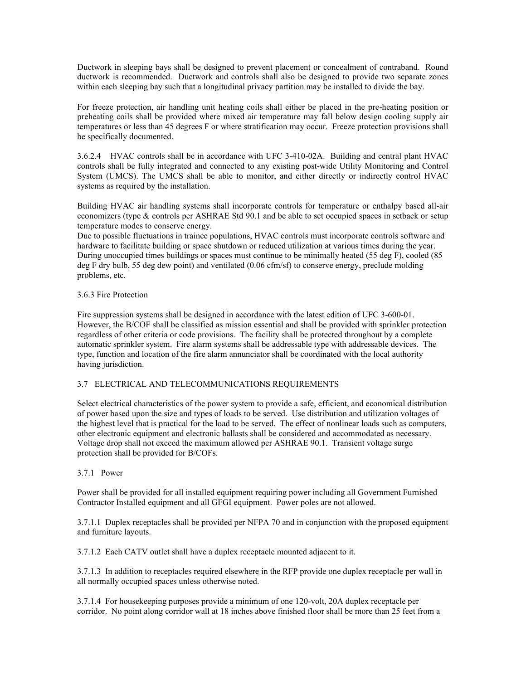Ductwork in sleeping bays shall be designed to prevent placement or concealment of contraband. Round ductwork is recommended. Ductwork and controls shall also be designed to provide two separate zones within each sleeping bay such that a longitudinal privacy partition may be installed to divide the bay.

For freeze protection, air handling unit heating coils shall either be placed in the pre-heating position or preheating coils shall be provided where mixed air temperature may fall below design cooling supply air temperatures or less than 45 degrees F or where stratification may occur. Freeze protection provisions shall be specifically documented.

3.6.2.4 HVAC controls shall be in accordance with UFC 3-410-02A. Building and central plant HVAC controls shall be fully integrated and connected to any existing post-wide Utility Monitoring and Control System (UMCS). The UMCS shall be able to monitor, and either directly or indirectly control HVAC systems as required by the installation.

Building HVAC air handling systems shall incorporate controls for temperature or enthalpy based all-air economizers (type & controls per ASHRAE Std 90.1 and be able to set occupied spaces in setback or setup temperature modes to conserve energy.

Due to possible fluctuations in trainee populations, HVAC controls must incorporate controls software and hardware to facilitate building or space shutdown or reduced utilization at various times during the year. During unoccupied times buildings or spaces must continue to be minimally heated (55 deg F), cooled (85 deg F dry bulb, 55 deg dew point) and ventilated (0.06 cfm/sf) to conserve energy, preclude molding problems, etc.

## 3.6.3 Fire Protection

Fire suppression systems shall be designed in accordance with the latest edition of UFC 3-600-01. However, the B/COF shall be classified as mission essential and shall be provided with sprinkler protection regardless of other criteria or code provisions. The facility shall be protected throughout by a complete automatic sprinkler system. Fire alarm systems shall be addressable type with addressable devices. The type, function and location of the fire alarm annunciator shall be coordinated with the local authority having jurisdiction.

# 3.7 ELECTRICAL AND TELECOMMUNICATIONS REQUIREMENTS

Select electrical characteristics of the power system to provide a safe, efficient, and economical distribution of power based upon the size and types of loads to be served. Use distribution and utilization voltages of the highest level that is practical for the load to be served. The effect of nonlinear loads such as computers, other electronic equipment and electronic ballasts shall be considered and accommodated as necessary. Voltage drop shall not exceed the maximum allowed per ASHRAE 90.1. Transient voltage surge protection shall be provided for B/COFs.

# 3.7.1 Power

Power shall be provided for all installed equipment requiring power including all Government Furnished Contractor Installed equipment and all GFGI equipment. Power poles are not allowed.

3.7.1.1Duplex receptacles shall be provided per NFPA 70 and in conjunction with the proposed equipment and furniture layouts.

3.7.1.2 Each CATV outlet shall have a duplex receptacle mounted adjacent to it.

3.7.1.3 In addition to receptacles required elsewhere in the RFP provide one duplex receptacle per wall in all normally occupied spaces unless otherwise noted.

3.7.1.4 For housekeeping purposes provide a minimum of one 120-volt, 20A duplex receptacle per corridor. No point along corridor wall at 18 inches above finished floor shall be more than 25 feet from a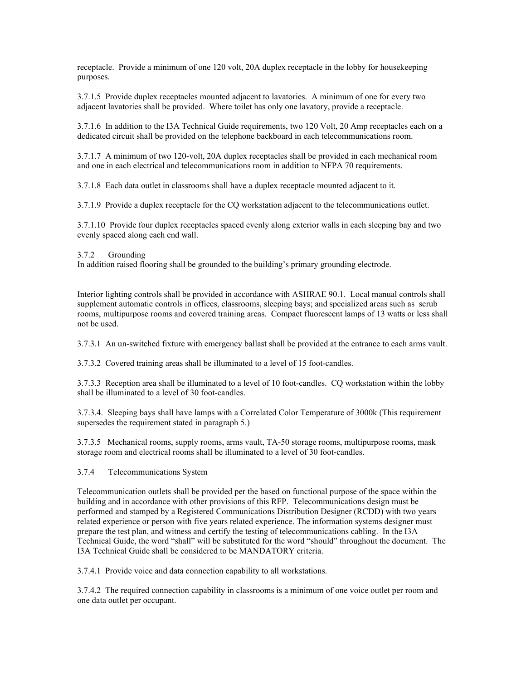receptacle. Provide a minimum of one 120 volt, 20A duplex receptacle in the lobby for housekeeping purposes.

3.7.1.5 Provide duplex receptacles mounted adjacent to lavatories. A minimum of one for every two adjacent lavatories shall be provided. Where toilet has only one lavatory, provide a receptacle.

3.7.1.6 In addition to the I3A Technical Guide requirements, two 120 Volt, 20 Amp receptacles each on a dedicated circuit shall be provided on the telephone backboard in each telecommunications room.

3.7.1.7 A minimum of two 120-volt, 20A duplex receptacles shall be provided in each mechanical room and one in each electrical and telecommunications room in addition to NFPA 70 requirements.

3.7.1.8 Each data outlet in classrooms shall have a duplex receptacle mounted adjacent to it.

3.7.1.9 Provide a duplex receptacle for the CQ workstation adjacent to the telecommunications outlet.

3.7.1.10 Provide four duplex receptacles spaced evenly along exterior walls in each sleeping bay and two evenly spaced along each end wall.

### 3.7.2 Grounding

In addition raised flooring shall be grounded to the building's primary grounding electrode.

Interior lighting controls shall be provided in accordance with ASHRAE 90.1. Local manual controls shall supplement automatic controls in offices, classrooms, sleeping bays; and specialized areas such as scrub rooms, multipurpose rooms and covered training areas. Compact fluorescent lamps of 13 watts or less shall not be used.

3.7.3.1 An un-switched fixture with emergency ballast shall be provided at the entrance to each arms vault.

3.7.3.2 Covered training areas shall be illuminated to a level of 15 foot-candles.

3.7.3.3 Reception area shall be illuminated to a level of 10 foot-candles. CQ workstation within the lobby shall be illuminated to a level of 30 foot-candles.

3.7.3.4. Sleeping bays shall have lamps with a Correlated Color Temperature of 3000k (This requirement supersedes the requirement stated in paragraph 5.)

3.7.3.5 Mechanical rooms, supply rooms, arms vault, TA-50 storage rooms, multipurpose rooms, mask storage room and electrical rooms shall be illuminated to a level of 30 foot-candles.

# 3.7.4 Telecommunications System

Telecommunication outlets shall be provided per the based on functional purpose of the space within the building and in accordance with other provisions of this RFP. Telecommunications design must be performed and stamped by a Registered Communications Distribution Designer (RCDD) with two years related experience or person with five years related experience. The information systems designer must prepare the test plan, and witness and certify the testing of telecommunications cabling. In the I3A Technical Guide, the word "shall" will be substituted for the word "should" throughout the document. The I3A Technical Guide shall be considered to be MANDATORY criteria.

3.7.4.1 Provide voice and data connection capability to all workstations.

3.7.4.2 The required connection capability in classrooms is a minimum of one voice outlet per room and one data outlet per occupant.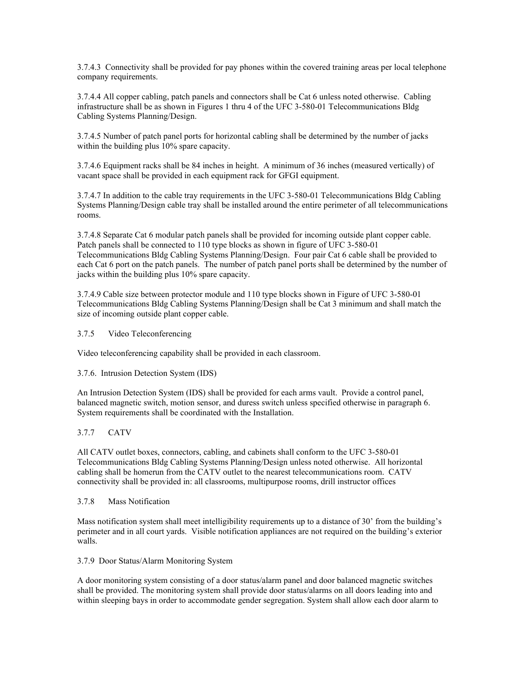3.7.4.3 Connectivity shall be provided for pay phones within the covered training areas per local telephone company requirements.

3.7.4.4 All copper cabling, patch panels and connectors shall be Cat 6 unless noted otherwise. Cabling infrastructure shall be as shown in Figures 1 thru 4 of the UFC 3-580-01 Telecommunications Bldg Cabling Systems Planning/Design.

3.7.4.5 Number of patch panel ports for horizontal cabling shall be determined by the number of jacks within the building plus 10% spare capacity.

3.7.4.6 Equipment racks shall be 84 inches in height. A minimum of 36 inches (measured vertically) of vacant space shall be provided in each equipment rack for GFGI equipment.

3.7.4.7 In addition to the cable tray requirements in the UFC 3-580-01 Telecommunications Bldg Cabling Systems Planning/Design cable tray shall be installed around the entire perimeter of all telecommunications rooms.

3.7.4.8 Separate Cat 6 modular patch panels shall be provided for incoming outside plant copper cable. Patch panels shall be connected to 110 type blocks as shown in figure of UFC 3-580-01 Telecommunications Bldg Cabling Systems Planning/Design. Four pair Cat 6 cable shall be provided to each Cat 6 port on the patch panels. The number of patch panel ports shall be determined by the number of jacks within the building plus 10% spare capacity.

3.7.4.9 Cable size between protector module and 110 type blocks shown in Figure of UFC 3-580-01 Telecommunications Bldg Cabling Systems Planning/Design shall be Cat 3 minimum and shall match the size of incoming outside plant copper cable.

3.7.5 Video Teleconferencing

Video teleconferencing capability shall be provided in each classroom.

# 3.7.6. Intrusion Detection System (IDS)

An Intrusion Detection System (IDS) shall be provided for each arms vault. Provide a control panel, balanced magnetic switch, motion sensor, and duress switch unless specified otherwise in paragraph 6. System requirements shall be coordinated with the Installation.

# 3.7.7 CATV

All CATV outlet boxes, connectors, cabling, and cabinets shall conform to the UFC 3-580-01 Telecommunications Bldg Cabling Systems Planning/Design unless noted otherwise. All horizontal cabling shall be homerun from the CATV outlet to the nearest telecommunications room. CATV connectivity shall be provided in: all classrooms, multipurpose rooms, drill instructor offices

3.7.8 Mass Notification

Mass notification system shall meet intelligibility requirements up to a distance of 30' from the building's perimeter and in all court yards. Visible notification appliances are not required on the building's exterior walls.

3.7.9 Door Status/Alarm Monitoring System

A door monitoring system consisting of a door status/alarm panel and door balanced magnetic switches shall be provided. The monitoring system shall provide door status/alarms on all doors leading into and within sleeping bays in order to accommodate gender segregation. System shall allow each door alarm to